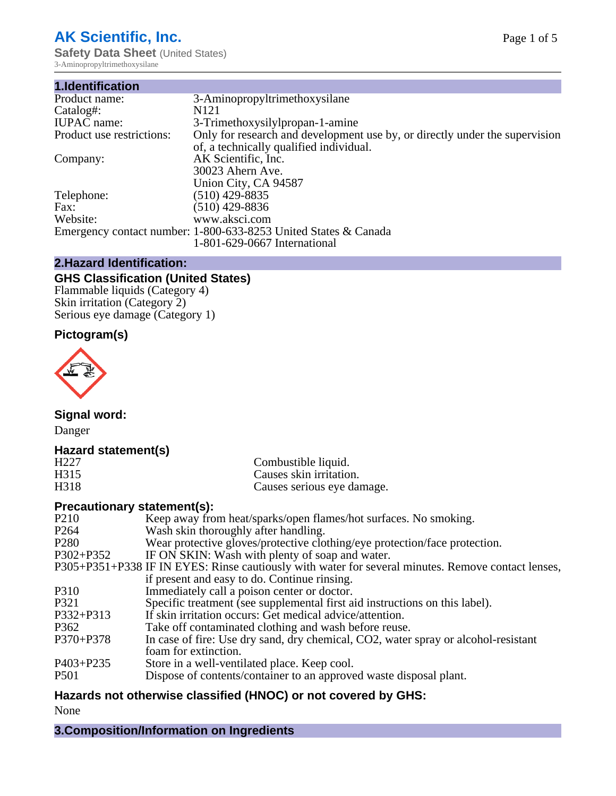# **AK Scientific, Inc.**

**Safety Data Sheet (United States)** 3-Aminopropyltrimethoxysilane

| 1.Identification          |                                                                             |
|---------------------------|-----------------------------------------------------------------------------|
| Product name:             | 3-Aminopropyltrimethoxysilane                                               |
| Catalog#:                 | N <sub>121</sub>                                                            |
| <b>IUPAC</b> name:        | 3-Trimethoxysilylpropan-1-amine                                             |
| Product use restrictions: | Only for research and development use by, or directly under the supervision |
|                           | of, a technically qualified individual.                                     |
| Company:                  | AK Scientific, Inc.                                                         |
|                           | 30023 Ahern Ave.                                                            |
|                           | Union City, CA 94587                                                        |
| Telephone:                | $(510)$ 429-8835                                                            |
| Fax:                      | (510) 429-8836                                                              |
| Website:                  | www.aksci.com                                                               |
|                           | Emergency contact number: 1-800-633-8253 United States & Canada             |
|                           | 1-801-629-0667 International                                                |

# **2.Hazard Identification:**

# **GHS Classification (United States)**

Flammable liquids (Category 4) Skin irritation (Category 2) Serious eye damage (Category 1)

# **Pictogram(s)**



**Signal word:**

Danger

# **Hazard statement(s)**

| H <sub>227</sub> | Combustible liquid.        |
|------------------|----------------------------|
| H315             | Causes skin irritation.    |
| H318             | Causes serious eye damage. |

# **Precautionary statement(s):**

| Keep away from heat/sparks/open flames/hot surfaces. No smoking.                                   |
|----------------------------------------------------------------------------------------------------|
| Wash skin thoroughly after handling.                                                               |
| Wear protective gloves/protective clothing/eye protection/face protection.                         |
| IF ON SKIN: Wash with plenty of soap and water.                                                    |
| P305+P351+P338 IF IN EYES: Rinse cautiously with water for several minutes. Remove contact lenses, |
| if present and easy to do. Continue rinsing.                                                       |
| Immediately call a poison center or doctor.                                                        |
| Specific treatment (see supplemental first aid instructions on this label).                        |
| If skin irritation occurs: Get medical advice/attention.                                           |
| Take off contaminated clothing and wash before reuse.                                              |
| In case of fire: Use dry sand, dry chemical, CO2, water spray or alcohol-resistant                 |
| foam for extinction.                                                                               |
| Store in a well-ventilated place. Keep cool.                                                       |
| Dispose of contents/container to an approved waste disposal plant.                                 |
|                                                                                                    |

# **Hazards not otherwise classified (HNOC) or not covered by GHS:**

None

**3.Composition/Information on Ingredients**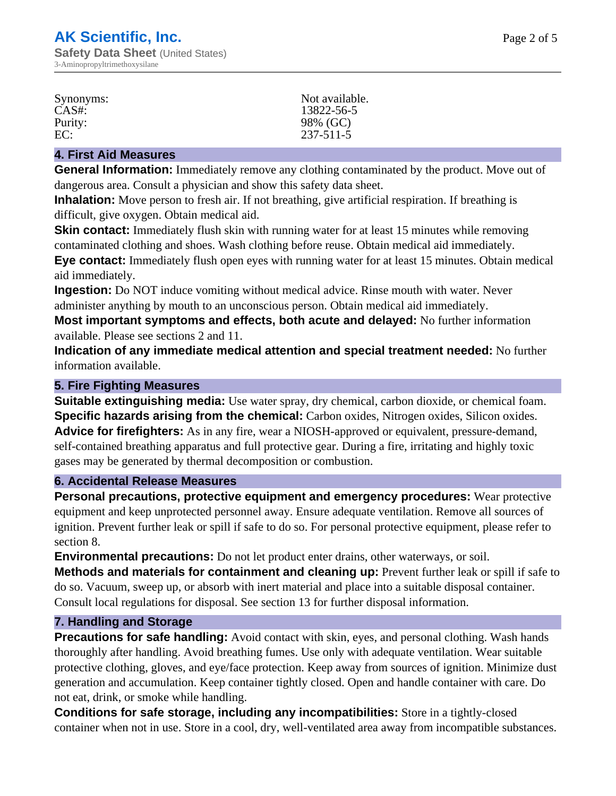| Synonyms: | Not available.  |
|-----------|-----------------|
| $CAS#$ :  | 13822-56-5      |
| Purity:   | 98% (GC)        |
| EC:       | $237 - 511 - 5$ |

#### **4. First Aid Measures**

**General Information:** Immediately remove any clothing contaminated by the product. Move out of dangerous area. Consult a physician and show this safety data sheet.

**Inhalation:** Move person to fresh air. If not breathing, give artificial respiration. If breathing is difficult, give oxygen. Obtain medical aid.

**Skin contact:** Immediately flush skin with running water for at least 15 minutes while removing contaminated clothing and shoes. Wash clothing before reuse. Obtain medical aid immediately. **Eye contact:** Immediately flush open eyes with running water for at least 15 minutes. Obtain medical aid immediately.

**Ingestion:** Do NOT induce vomiting without medical advice. Rinse mouth with water. Never administer anything by mouth to an unconscious person. Obtain medical aid immediately.

**Most important symptoms and effects, both acute and delayed:** No further information available. Please see sections 2 and 11.

**Indication of any immediate medical attention and special treatment needed:** No further information available.

#### **5. Fire Fighting Measures**

**Suitable extinguishing media:** Use water spray, dry chemical, carbon dioxide, or chemical foam. **Specific hazards arising from the chemical:** Carbon oxides, Nitrogen oxides, Silicon oxides. **Advice for firefighters:** As in any fire, wear a NIOSH-approved or equivalent, pressure-demand, self-contained breathing apparatus and full protective gear. During a fire, irritating and highly toxic gases may be generated by thermal decomposition or combustion.

#### **6. Accidental Release Measures**

**Personal precautions, protective equipment and emergency procedures:** Wear protective equipment and keep unprotected personnel away. Ensure adequate ventilation. Remove all sources of ignition. Prevent further leak or spill if safe to do so. For personal protective equipment, please refer to section 8.

**Environmental precautions:** Do not let product enter drains, other waterways, or soil.

**Methods and materials for containment and cleaning up:** Prevent further leak or spill if safe to do so. Vacuum, sweep up, or absorb with inert material and place into a suitable disposal container. Consult local regulations for disposal. See section 13 for further disposal information.

#### **7. Handling and Storage**

**Precautions for safe handling:** Avoid contact with skin, eyes, and personal clothing. Wash hands thoroughly after handling. Avoid breathing fumes. Use only with adequate ventilation. Wear suitable protective clothing, gloves, and eye/face protection. Keep away from sources of ignition. Minimize dust generation and accumulation. Keep container tightly closed. Open and handle container with care. Do not eat, drink, or smoke while handling.

**Conditions for safe storage, including any incompatibilities:** Store in a tightly-closed container when not in use. Store in a cool, dry, well-ventilated area away from incompatible substances.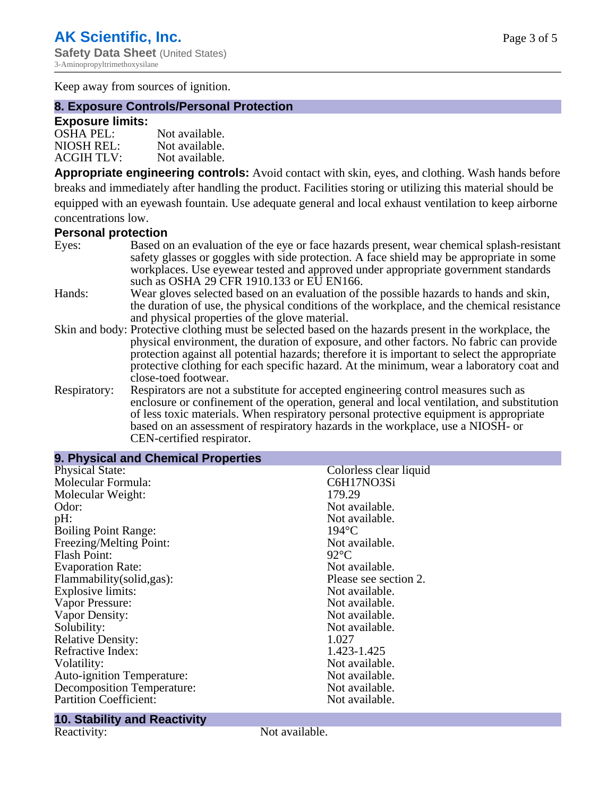Keep away from sources of ignition.

# **8. Exposure Controls/Personal Protection**

#### **Exposure limits:**

| <b>OSHA PEL:</b>  | Not available. |
|-------------------|----------------|
| NIOSH REL:        | Not available. |
| <b>ACGIH TLV:</b> | Not available. |

**Appropriate engineering controls:** Avoid contact with skin, eyes, and clothing. Wash hands before breaks and immediately after handling the product. Facilities storing or utilizing this material should be equipped with an eyewash fountain. Use adequate general and local exhaust ventilation to keep airborne concentrations low.

# **Personal protection**

| Eyes:        | Based on an evaluation of the eye or face hazards present, wear chemical splash-resistant                                                                                      |
|--------------|--------------------------------------------------------------------------------------------------------------------------------------------------------------------------------|
|              | safety glasses or goggles with side protection. A face shield may be appropriate in some<br>workplaces. Use eyewear tested and approved under appropriate government standards |
|              | such as OSHA 29 CFR 1910.133 or EU EN166.                                                                                                                                      |
| Hands:       | Wear gloves selected based on an evaluation of the possible hazards to hands and skin,                                                                                         |
|              | the duration of use, the physical conditions of the workplace, and the chemical resistance                                                                                     |
|              | and physical properties of the glove material.                                                                                                                                 |
|              | Skin and body: Protective clothing must be selected based on the hazards present in the workplace, the                                                                         |
|              | physical environment, the duration of exposure, and other factors. No fabric can provide                                                                                       |
|              | protection against all potential hazards; therefore it is important to select the appropriate                                                                                  |
|              | protective clothing for each specific hazard. At the minimum, wear a laboratory coat and                                                                                       |
|              | close-toed footwear.                                                                                                                                                           |
| Respiratory: | Respirators are not a substitute for accepted engineering control measures such as                                                                                             |
|              | enclosure or confinement of the operation, general and local ventilation, and substitution                                                                                     |
|              | of less toxic materials. When respiratory personal protective equipment is appropriate                                                                                         |
|              | based on an assessment of respiratory hazards in the workplace, use a NIOSH- or                                                                                                |

| 9. Physical and Chemical Properties |                        |
|-------------------------------------|------------------------|
| <b>Physical State:</b>              | Colorless clear liquid |
| Molecular Formula:                  | C6H17NO3Si             |
| Molecular Weight:                   | 179.29                 |
| Odor:                               | Not available.         |
| pH:                                 | Not available.         |
| <b>Boiling Point Range:</b>         | $194$ °C               |
| Freezing/Melting Point:             | Not available.         |
| <b>Flash Point:</b>                 | $92^{\circ}$ C         |
| <b>Evaporation Rate:</b>            | Not available.         |
| Flammability(solid,gas):            | Please see section 2.  |
| Explosive limits:                   | Not available.         |
| Vapor Pressure:                     | Not available.         |
| Vapor Density:                      | Not available.         |
| Solubility:                         | Not available.         |
| <b>Relative Density:</b>            | 1.027                  |
| Refractive Index:                   | 1.423-1.425            |
| Volatility:                         | Not available.         |
| Auto-ignition Temperature:          | Not available.         |
| Decomposition Temperature:          | Not available.         |
| <b>Partition Coefficient:</b>       | Not available.         |

# **10. Stability and Reactivity**

Not available.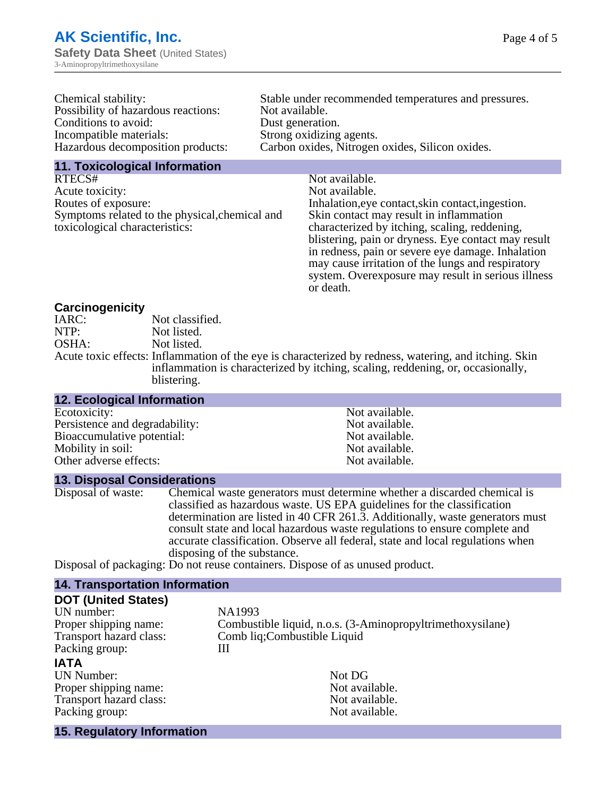| Chemical stability:                 | Stable under recommended temperatures and pressures. |
|-------------------------------------|------------------------------------------------------|
| Possibility of hazardous reactions: | Not available.                                       |
| Conditions to avoid:                | Dust generation.                                     |
| Incompatible materials:             | Strong oxidizing agents.                             |
| Hazardous decomposition products:   | Carbon oxides, Nitrogen oxides, Silicon oxides.      |
| 44 Teviselesisel Information        |                                                      |

**11. Toxicological Information**

RTECS# Not available. Acute toxicity: Not available. Routes of exposure: Inhalation,eye contact,skin contact,ingestion. Symptoms related to the physical,chemical and toxicological characteristics:

Skin contact may result in inflammation characterized by itching, scaling, reddening, blistering, pain or dryness. Eye contact may result in redness, pain or severe eye damage. Inhalation may cause irritation of the lungs and respiratory system. Overexposure may result in serious illness or death.

#### **Carcinogenicity**

| IARC: | Not classified.                                                                                       |
|-------|-------------------------------------------------------------------------------------------------------|
| NTP:  | Not listed.                                                                                           |
| OSHA: | Not listed.                                                                                           |
|       | Acute toxic effects: Inflammation of the eye is characterized by redness, watering, and itching. Skin |
|       | inflammation is characterized by itching, scaling, reddening, or, occasionally,                       |
|       | blistering.                                                                                           |

#### **12. Ecological Information** Ecotoxicity: Not available.<br>
Persistence and degradability: Not available.<br>
Not available. Persistence and degradability:<br>
Bioaccumulative potential:<br>
Not available.<br>
Not available. Bioaccumulative potential:<br>
Mobility in soil:<br>
Mobility in soil:<br>
Not available. Mobility in soil:<br>
Other adverse effects:<br>
Other adverse effects:<br>
Not available. Other adverse effects:

**13. Disposal Considerations**

Disposal of waste: Chemical waste generators must determine whether a discarded chemical is classified as hazardous waste. US EPA guidelines for the classification determination are listed in 40 CFR 261.3. Additionally, waste generators must consult state and local hazardous waste regulations to ensure complete and accurate classification. Observe all federal, state and local regulations when disposing of the substance.

Disposal of packaging: Do not reuse containers. Dispose of as unused product.

# **14. Transportation Information**

| <b>DOT (United States)</b>        |                                                            |
|-----------------------------------|------------------------------------------------------------|
| UN number:                        | NA1993                                                     |
| Proper shipping name:             | Combustible liquid, n.o.s. (3-Aminopropyltrimethoxysilane) |
| Transport hazard class:           | Comb liq; Combustible Liquid                               |
| Packing group:                    | Ш                                                          |
| <b>IATA</b>                       |                                                            |
| <b>UN Number:</b>                 | Not DG                                                     |
| Proper shipping name:             | Not available.                                             |
| Transport hazard class:           | Not available.                                             |
| Packing group:                    | Not available.                                             |
| <b>15. Regulatory Information</b> |                                                            |